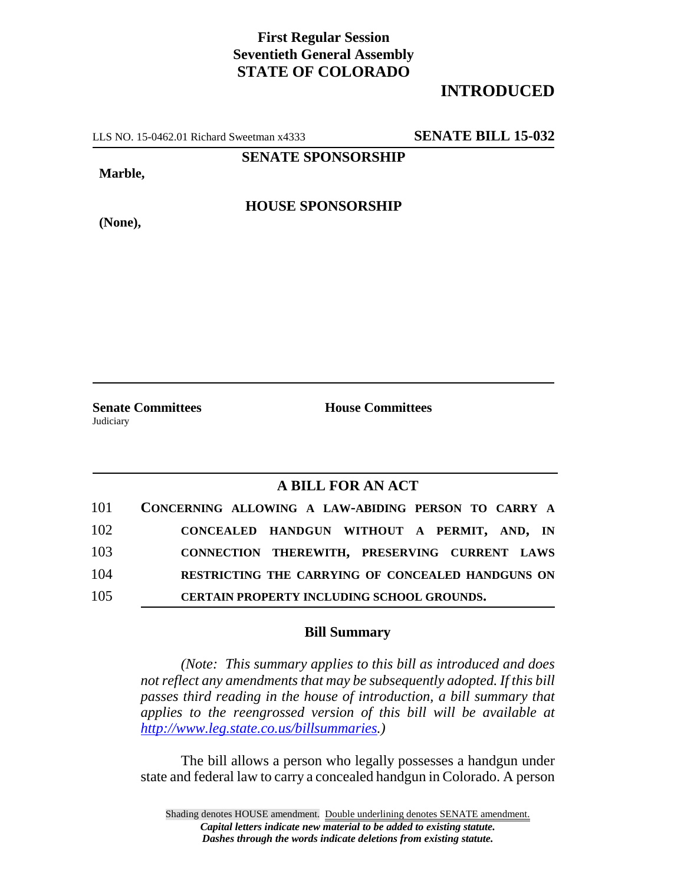## **First Regular Session Seventieth General Assembly STATE OF COLORADO**

## **INTRODUCED**

LLS NO. 15-0462.01 Richard Sweetman x4333 **SENATE BILL 15-032**

**SENATE SPONSORSHIP**

**Marble,**

**(None),**

**HOUSE SPONSORSHIP**

**Senate Committees House Committees Judiciary** 

## **A BILL FOR AN ACT**

| 101 | CONCERNING ALLOWING A LAW-ABIDING PERSON TO CARRY A |
|-----|-----------------------------------------------------|
| 102 | CONCEALED HANDGUN WITHOUT A PERMIT, AND, IN         |
| 103 | CONNECTION THEREWITH, PRESERVING CURRENT LAWS       |
| 104 | RESTRICTING THE CARRYING OF CONCEALED HANDGUNS ON   |
| 105 | CERTAIN PROPERTY INCLUDING SCHOOL GROUNDS.          |

## **Bill Summary**

*(Note: This summary applies to this bill as introduced and does not reflect any amendments that may be subsequently adopted. If this bill passes third reading in the house of introduction, a bill summary that applies to the reengrossed version of this bill will be available at http://www.leg.state.co.us/billsummaries.)*

The bill allows a person who legally possesses a handgun under state and federal law to carry a concealed handgun in Colorado. A person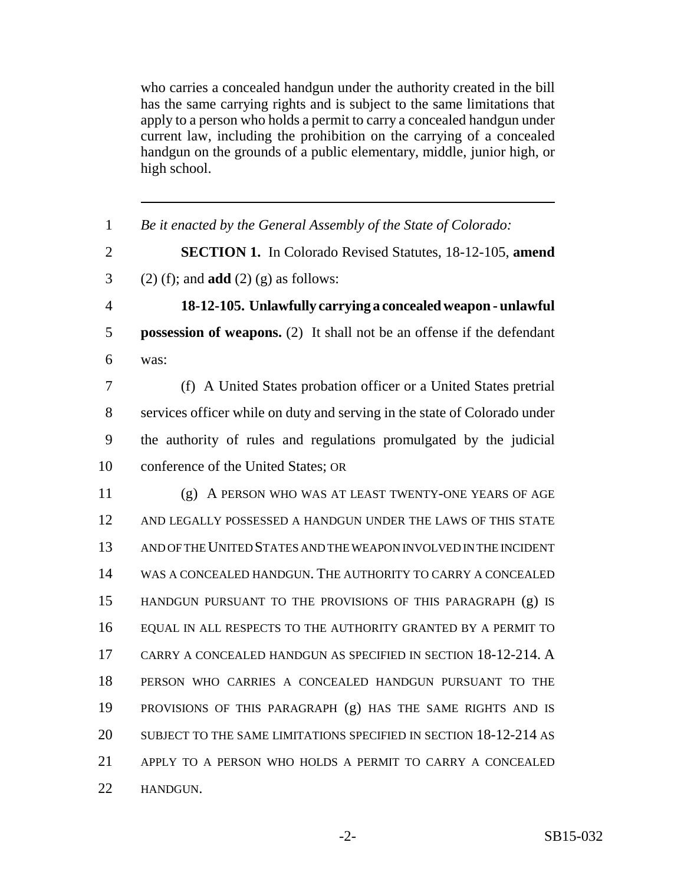who carries a concealed handgun under the authority created in the bill has the same carrying rights and is subject to the same limitations that apply to a person who holds a permit to carry a concealed handgun under current law, including the prohibition on the carrying of a concealed handgun on the grounds of a public elementary, middle, junior high, or high school.

| $\mathbf{1}$   | Be it enacted by the General Assembly of the State of Colorado:               |
|----------------|-------------------------------------------------------------------------------|
| $\overline{2}$ | <b>SECTION 1.</b> In Colorado Revised Statutes, 18-12-105, amend              |
| 3              | $(2)$ (f); and <b>add</b> $(2)$ (g) as follows:                               |
| $\overline{4}$ | 18-12-105. Unlawfully carrying a concealed weapon - unlawful                  |
| 5              | <b>possession of weapons.</b> (2) It shall not be an offense if the defendant |
| 6              | was:                                                                          |
| 7              | (f) A United States probation officer or a United States pretrial             |
| 8              | services officer while on duty and serving in the state of Colorado under     |
| 9              | the authority of rules and regulations promulgated by the judicial            |
| 10             | conference of the United States; OR                                           |
| 11             | (g) A PERSON WHO WAS AT LEAST TWENTY-ONE YEARS OF AGE                         |
| 12             | AND LEGALLY POSSESSED A HANDGUN UNDER THE LAWS OF THIS STATE                  |
| 13             | AND OF THE UNITED STATES AND THE WEAPON INVOLVED IN THE INCIDENT              |
| 14             | WAS A CONCEALED HANDGUN. THE AUTHORITY TO CARRY A CONCEALED                   |
| 15             | HANDGUN PURSUANT TO THE PROVISIONS OF THIS PARAGRAPH (g) IS                   |
| 16             | EQUAL IN ALL RESPECTS TO THE AUTHORITY GRANTED BY A PERMIT TO                 |
| 17             | CARRY A CONCEALED HANDGUN AS SPECIFIED IN SECTION 18-12-214. A                |
| 18             | PERSON WHO CARRIES A CONCEALED HANDGUN PURSUANT TO THE                        |
| 19             | PROVISIONS OF THIS PARAGRAPH (g) HAS THE SAME RIGHTS AND IS                   |
| 20             | SUBJECT TO THE SAME LIMITATIONS SPECIFIED IN SECTION 18-12-214 AS             |
| 21             | APPLY TO A PERSON WHO HOLDS A PERMIT TO CARRY A CONCEALED                     |
| 22             | HANDGUN.                                                                      |